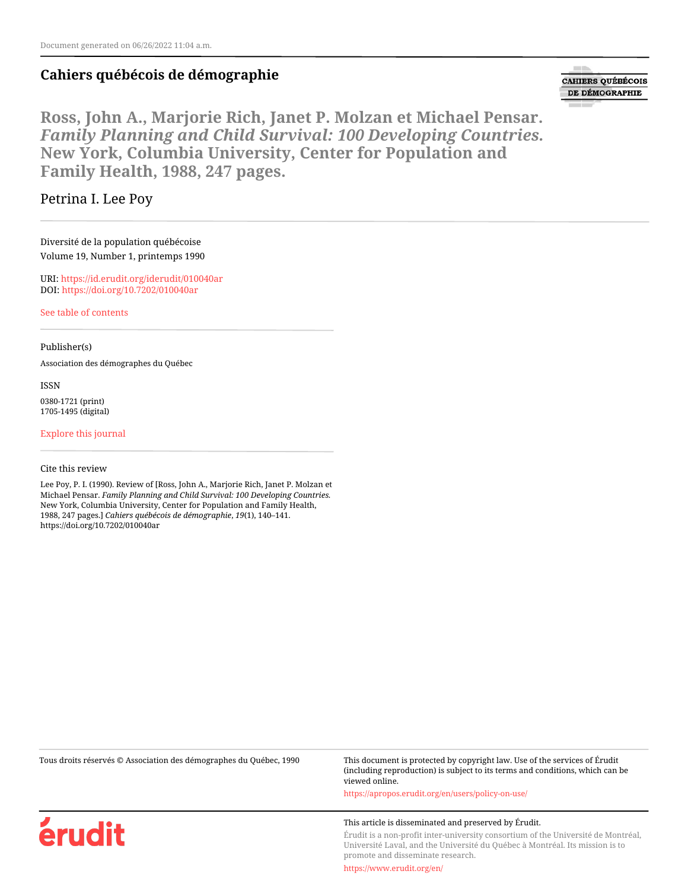## **Cahiers québécois de démographie**

**CAHIERS QUÉBÉCOIS** DE DÉMOGRAPHIE

**Ross, John A., Marjorie Rich, Janet P. Molzan et Michael Pensar.** *Family Planning and Child Survival: 100 Developing Countries.* **New York, Columbia University, Center for Population and Family Health, 1988, 247 pages.**

## Petrina I. Lee Poy

Diversité de la population québécoise Volume 19, Number 1, printemps 1990

URI:<https://id.erudit.org/iderudit/010040ar> DOI:<https://doi.org/10.7202/010040ar>

[See table of contents](https://www.erudit.org/en/journals/cqd/1990-v19-n1-cqd568/)

Publisher(s)

Association des démographes du Québec

ISSN

0380-1721 (print) 1705-1495 (digital)

[Explore this journal](https://www.erudit.org/en/journals/cqd/)

Cite this review

erudit

Lee Poy, P. I. (1990). Review of [Ross, John A., Marjorie Rich, Janet P. Molzan et Michael Pensar. *Family Planning and Child Survival: 100 Developing Countries.* New York, Columbia University, Center for Population and Family Health, 1988, 247 pages.] *Cahiers québécois de démographie*, *19*(1), 140–141. https://doi.org/10.7202/010040ar

| Tous droits réservés © Association des démographes du Québec, 1990 | This document is protected by copyright law. Use of the services of Érudit<br>(including reproduction) is subject to its terms and conditions, which can be<br>viewed online. |
|--------------------------------------------------------------------|-------------------------------------------------------------------------------------------------------------------------------------------------------------------------------|
|                                                                    | https://apropos.erudit.org/en/users/policy-on-use/                                                                                                                            |
|                                                                    | This article is disseminated and preserved by Érudit.                                                                                                                         |

Érudit is a non-profit inter-university consortium of the Université de Montréal, Université Laval, and the Université du Québec à Montréal. Its mission is to promote and disseminate research.

<https://www.erudit.org/en/>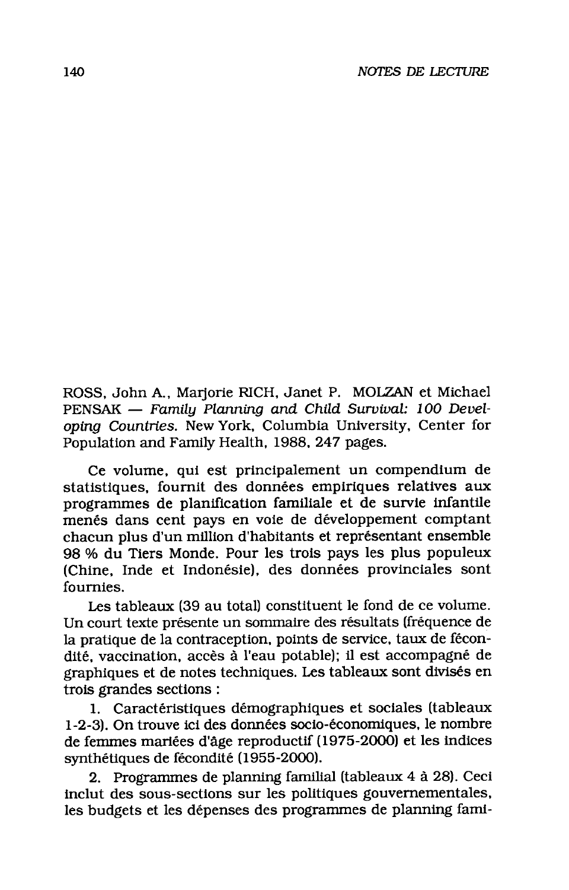ROSS, John A., Marjorie RICH, Janet P. MOLZAN et Michael PENSAK - Family Planning and Child Survival: 100 Developing Countries. New York, Columbia University, Center for Population and Family Health, 1988, 247 pages.

Ce volume, qui est principalement un compendium de statistiques, fournit des données empiriques relatives aux programmes de planification familiale et de survie infantile menés dans cent pays en voie de développement comptant chacun plus d'un million d'habitants et représentant ensemble 98 % du Tiers Monde. Pour les trois pays les plus populeux (Chine, Inde et Indonésie), des données provinciales sont fournies.

Les tableaux (39 au total) constituent le fond de ce volume. Un court texte présente un sommaire des résultats (fréquence de la pratique de la contraception, points de service, taux de fécondité, vaccination, accès à l'eau potable); il est accompagné de graphiques et de notes techniques. Les tableaux sont divisés en trois grandes sections :

1. Caractéristiques démographiques et sociales (tableaux 1-2-3). On trouve ici des données socio-économiques, le nombre de femmes mariées d'âge reproductif (1975-2000) et les indices synthétiques de fécondité (1955-2000).

2. Programmes de planning familial (tableaux 4 à 28). Ceci inclut des sous-sections sur les politiques gouvernementales, les budgets et les dépenses des programmes de planning fami